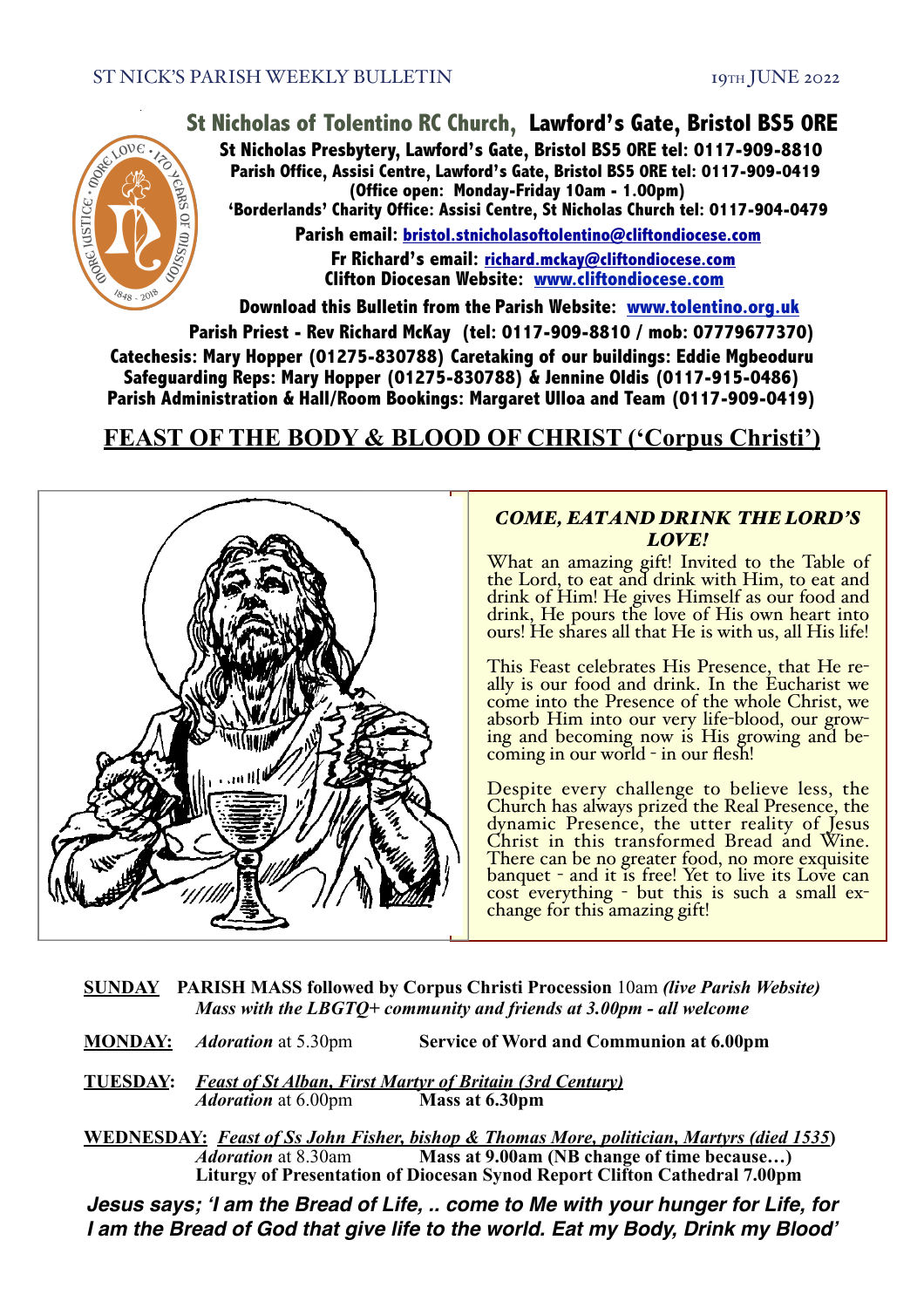

**Download this Bulletin from the Parish Website: [www.tolentino.org.uk](http://www.cliftondiocese.com) Parish Priest - Rev Richard McKay (tel: 0117-909-8810 / mob: 07779677370) Catechesis: Mary Hopper (01275-830788) Caretaking of our buildings: Eddie Mgbeoduru Safeguarding Reps: Mary Hopper (01275-830788) & Jennine Oldis (0117-915-0486) Parish Administration & Hall/Room Bookings: Margaret Ulloa and Team (0117-909-0419)**

# **FEAST OF THE BODY & BLOOD OF CHRIST ('Corpus Christi')**



# *COME, EAT AND DRINK THE LORD'S LOVE!*

What an amazing gift! Invited to the Table of the Lord, to eat and drink with Him, to eat and drink of Him! He gives Himself as our food and drink, He pours the love of His own heart into ours! He shares all that He is with us, all His life!

This Feast celebrates His Presence, that He re- ally is our food and drink. In the Eucharist we come into the Presence of the whole Christ, we absorb Him into our very life-blood, our grow- ing and becoming now is His growing and be- coming in our world - in our flesh!

Despite every challenge to believe less, the Church has always prized the Real Presence, the dynamic Presence, the utter reality of Jesus Christ in this transformed Bread and Wine. There can be no greater food, no more exquisite banquet - and it is free! Yet to live its Love can cost everything - but this is such a small ex- change for this amazing gift!

| <b>SUNDAY</b> PARISH MASS followed by Corpus Christi Procession 10am (live Parish Website) |
|--------------------------------------------------------------------------------------------|
| Mass with the LBGTQ+ community and friends at 3.00pm - all welcome                         |

- **MONDAY:** *Adoration* at 5.30pm **Service of Word and Communion at 6.00pm**
- **TUESDAY:** *Feast of St Alban, First Martyr of Britain (3rd Century) Adoration* at 6.00pm
- **WEDNESDAY:** *Feast of Ss John Fisher, bishop & Thomas More, politician, Martyrs (died 1535)*<br>*Adoration* at 8.30am **Mass at 9.00am (NB change of time because...) Mass at 9.00am (NB change of time because...) Liturgy of Presentation of Diocesan Synod Report Clifton Cathedral 7.00pm**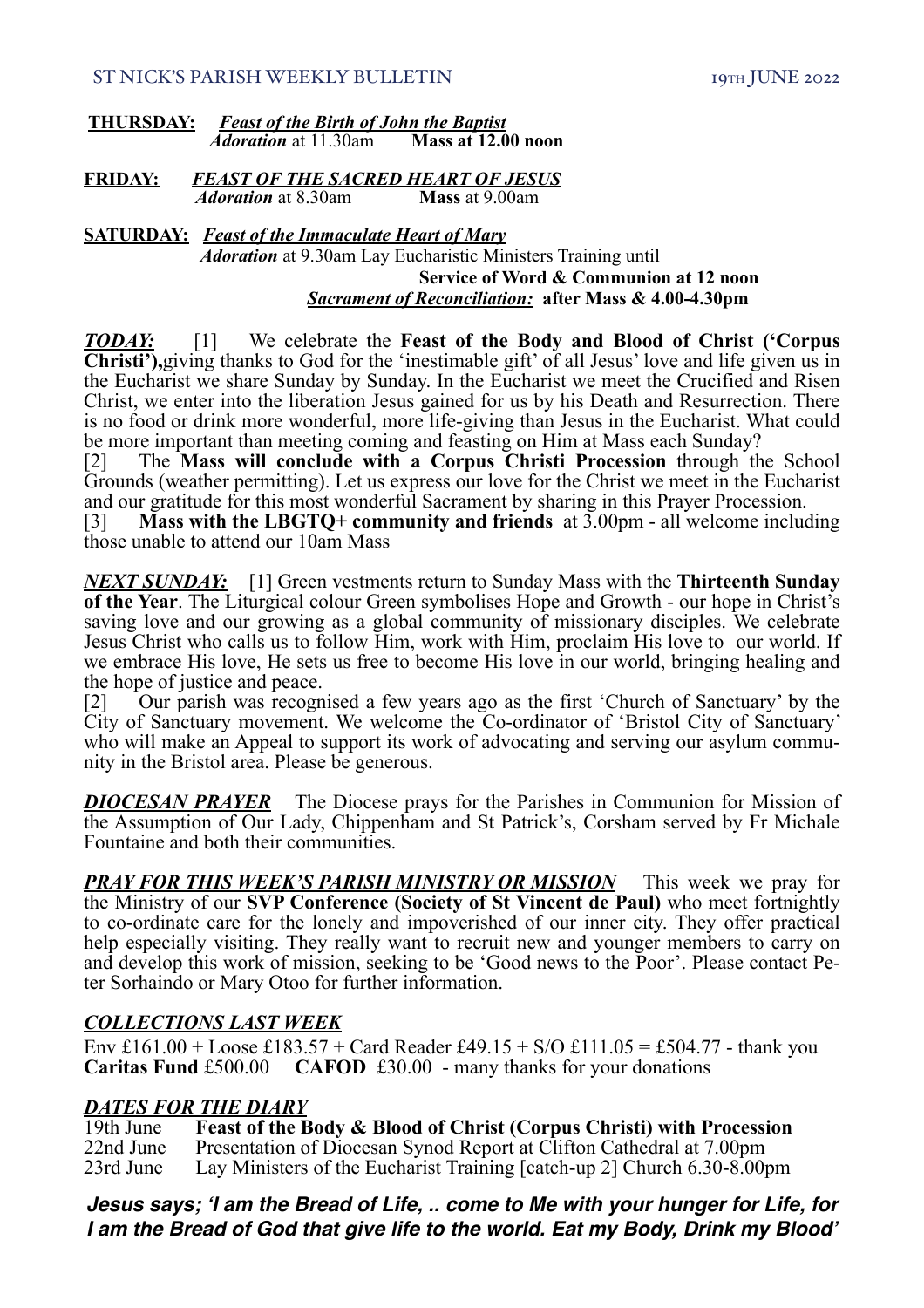### ST NICK'S PARISH WEEKLY BULLETIN 19TH JUNE 2022

### **THURSDAY:** *Feast of the Birth of John the Baptist Adoration* at 11.30am **Mass at 12.00 noon**

**FRIDAY:** *FEAST OF THE SACRED HEART OF JESUS Adoration* at 8.30am **Mass** at 9.00am

**SATURDAY:** *Feast of the Immaculate Heart of Mary Adoration* at 9.30am Lay Eucharistic Ministers Training until **Service of Word & Communion at 12 noon** *Sacrament of Reconciliation:* **after Mass & 4.00-4.30pm**

*TODAY:* [1] We celebrate the **Feast of the Body and Blood of Christ ('Corpus Christi'),**giving thanks to God for the 'inestimable gift' of all Jesus' love and life given us in the Eucharist we share Sunday by Sunday. In the Eucharist we meet the Crucified and Risen Christ, we enter into the liberation Jesus gained for us by his Death and Resurrection. There is no food or drink more wonderful, more life-giving than Jesus in the Eucharist. What could be more important than meeting coming and feasting on Him at Mass each Sunday?

[2] The **Mass will conclude with a Corpus Christi Procession** through the School Grounds (weather permitting). Let us express our love for the Christ we meet in the Eucharist and our gratitude for this most wonderful Sacrament by sharing in this Prayer Procession.

[3] **Mass with the LBGTQ+ community and friends** at 3.00pm - all welcome including those unable to attend our 10am Mass

*NEXT SUNDAY:* [1] Green vestments return to Sunday Mass with the **Thirteenth Sunday of the Year**. The Liturgical colour Green symbolises Hope and Growth - our hope in Christ's saving love and our growing as a global community of missionary disciples. We celebrate Jesus Christ who calls us to follow Him, work with Him, proclaim His love to our world. If we embrace His love, He sets us free to become His love in our world, bringing healing and the hope of justice and peace.

[2] Our parish was recognised a few years ago as the first 'Church of Sanctuary' by the City of Sanctuary movement. We welcome the Co-ordinator of 'Bristol City of Sanctuary' who will make an Appeal to support its work of advocating and serving our asylum commu- nity in the Bristol area. Please be generous.

*DIOCESAN PRAYER* The Diocese prays for the Parishes in Communion for Mission of the Assumption of Our Lady, Chippenham and St Patrick's, Corsham served by Fr Michale Fountaine and both their communities.

*PRAY FOR THIS WEEK'S PARISH MINISTRY OR MISSION* This week we pray for the Ministry of our **SVP Conference (Society of St Vincent de Paul)** who meet fortnightly to co-ordinate care for the lonely and impoverished of our inner city. They offer practical help especially visiting. They really want to recruit new and younger members to carry on and develop this work of mission, seeking to be 'Good news to the Poor'. Please contact Pe- ter Sorhaindo or Mary Otoo for further information.

# *COLLECTIONS LAST WEEK*

Env £161.00 + Loose £183.57 + Card Reader £49.15 + S/O £111.05 = £504.77 - thank you **Caritas Fund** £500.00 **CAFOD** £30.00 - many thanks for your donations

*DATES FOR THE DIARY* 19th June **Feast of the Body & Blood of Christ (Corpus Christi) with Procession** 22nd June Presentation of Diocesan Synod Report at Clifton Cathedral at 7.00pm<br>23rd June Lav Ministers of the Eucharist Training [catch-up 2] Church 6.30-8.00p Lay Ministers of the Eucharist Training [catch-up 2] Church 6.30-8.00pm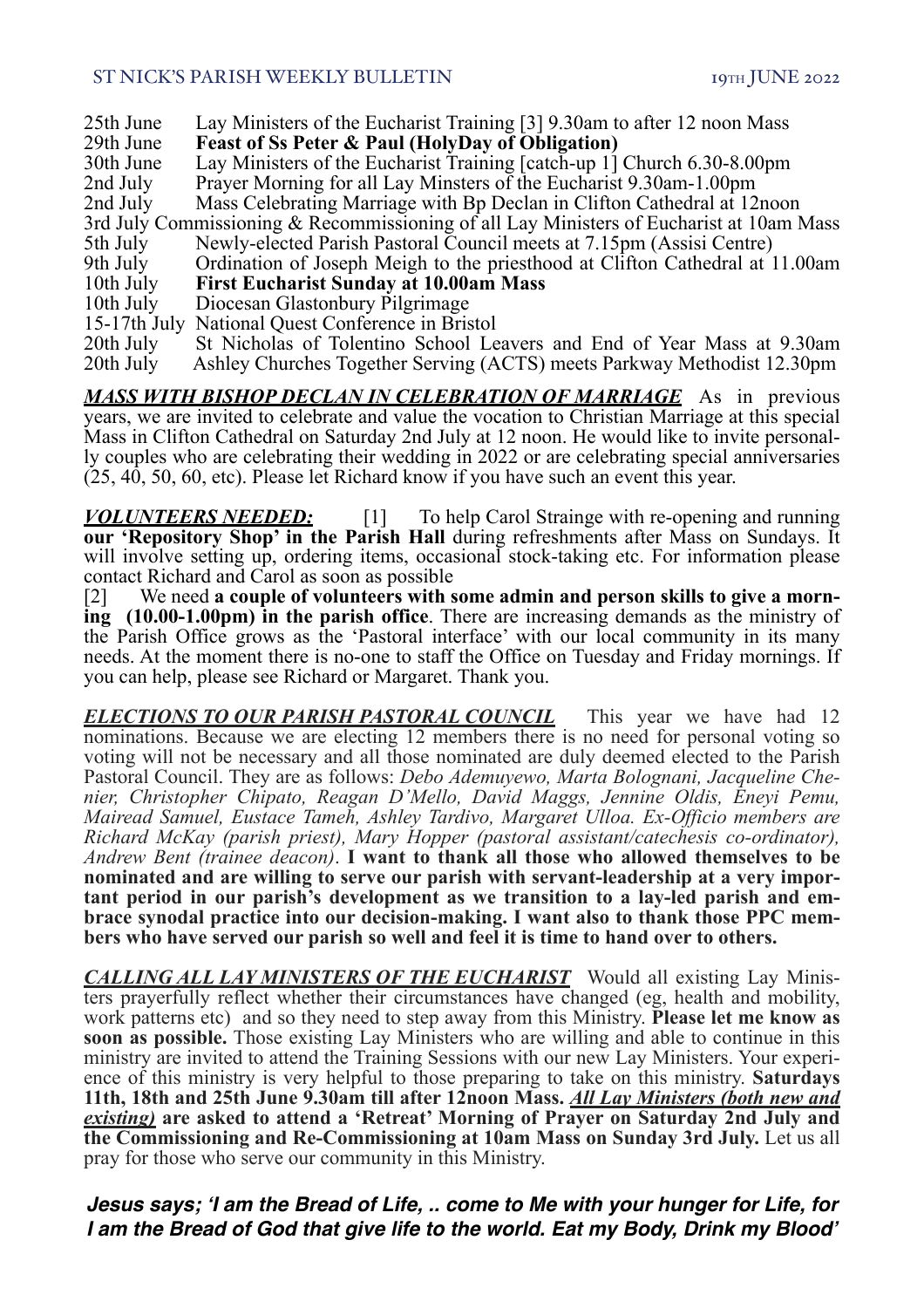25th June Lay Ministers of the Eucharist Training [3] 9.30am to after 12 noon Mass 29th June **Feast of Ss Peter & Paul (HolyDay of Obligation)** 30th June Lay Ministers of the Eucharist Training [catch-up 1] Church 6.30-8.00pm 2nd July Prayer Morning for all Lay Minsters of the Eucharist 9.30am-1.00pm 2nd July Mass Celebrating Marriage with Bp Declan in Clifton Cathedral at 12noon 3rd July Commissioning & Recommissioning of all Lay Ministers of Eucharist at 10am Mass 5th July Newly-elected Parish Pastoral Council meets at 7.15pm (Assisi Centre)<br>9th July Ordination of Joseph Meigh to the priesthood at Clifton Cathedral at 1 Ordination of Joseph Meigh to the priesthood at Clifton Cathedral at 11.00am 10th July **First Eucharist Sunday at 10.00am Mass** 10th July Diocesan Glastonbury Pilgrimage 15-17th July National Quest Conference in Bristol 20th July St Nicholas of Tolentino School Leavers and End of Year Mass at 9.30am 20th July Ashley Churches Together Serving (ACTS) meets Parkway Methodist 12.30pm

*MASS WITH BISHOP DECLAN IN CELEBRATION OF MARRIAGE* As in previous years, we are invited to celebrate and value the vocation to Christian Marriage at this special Mass in Clifton Cathedral on Saturday 2nd July at 12 noon. He would like to invite personal- ly couples who are celebrating their wedding in 2022 or are celebrating special anniversaries (25, 40, 50, 60, etc). Please let Richard know if you have such an event this year.

*VOLUNTEERS NEEDED:* [1] To help Carol Strainge with re-opening and running **our 'Repository Shop' in the Parish Hall** during refreshments after Mass on Sundays. It will involve setting up, ordering items, occasional stock-taking etc. For information please contact Richard and Carol as soon as possible

[2] We need **a couple of volunteers with some admin and person skills to give a morn- ing (10.00-1.00pm) in the parish office**. There are increasing demands as the ministry of the Parish Office grows as the 'Pastoral interface' with our local community in its many needs. At the moment there is no-one to staff the Office on Tuesday and Friday mornings. If you can help, please see Richard or Margaret. Thank you.

*ELECTIONS TO OUR PARISH PASTORAL COUNCIL* This year we have had 12 nominations. Because we are electing 12 members there is no need for personal voting so voting will not be necessary and all those nominated are duly deemed elected to the Parish Pastoral Council. They are as follows: *Debo Ademuyewo, Marta Bolognani, Jacqueline Che- nier, Christopher Chipato, Reagan D'Mello, David Maggs, Jennine Oldis, Eneyi Pemu, Mairead Samuel, Eustace Tameh, Ashley Tardivo, Margaret Ulloa. Ex-Officio members are Richard McKay (parish priest), Mary Hopper (pastoral assistant/catechesis co-ordinator), Andrew Bent (trainee deacon)*. **I want to thank all those who allowed themselves to be**  nominated and are willing to serve our parish with servant-leadership at a very important period in our parish's development as we transition to a lay-led parish and embrace synodal practice into our decision-making. I wan

*CALLING ALL LAY MINISTERS OF THE EUCHARIST* Would all existing Lay Ministers prayerfully reflect whether their circumstances have changed (eg, health and mobility, work patterns etc) and so they need to step away from this Ministry. **Please let me know as soon as possible.** Those existing Lay Ministers who are willing and able to continue in this ministry are invited to attend the Training Sessions with our new Lay Ministers. Your experi- ence of this ministry is very helpful to those preparing to take on this ministry. **Saturdays 11th, 18th and 25th June 9.30am till after 12noon Mass.** *All Lay Ministers (both new and existing)* **are asked to attend a 'Retreat' Morning of Prayer on Saturday 2nd July and the Commissioning and Re-Commissioning at 10am Mass on Sunday 3rd July.** Let us all pray for those who serve our community in this Ministry.